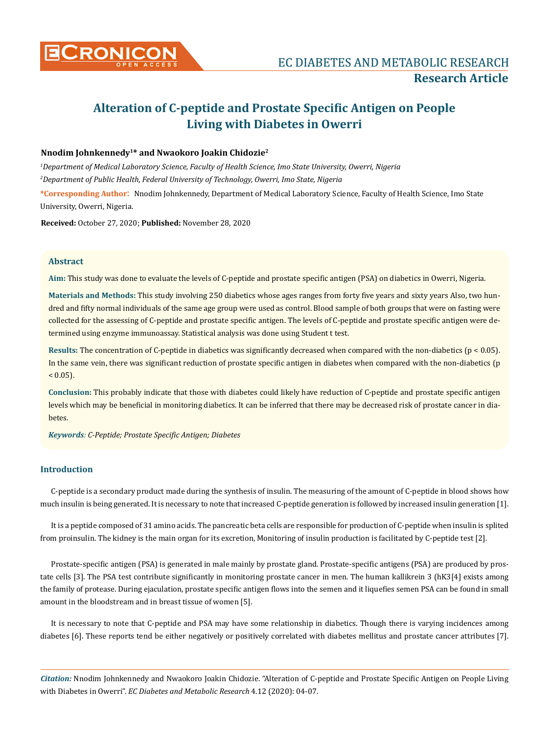

# **Alteration of C-peptide and Prostate Specific Antigen on People Living with Diabetes in Owerri**

# **Nnodim Johnkennedy1\* and Nwaokoro Joakin Chidozie2**

*1 Department of Medical Laboratory Science, Faculty of Health Science, Imo State University, Owerri, Nigeria 2 Department of Public Health, Federal University of Technology, Owerri, Imo State, Nigeria*

**\*Corresponding Author**: Nnodim Johnkennedy, Department of Medical Laboratory Science, Faculty of Health Science, Imo State University, Owerri, Nigeria.

**Received:** October 27, 2020; **Published:** November 28, 2020

## **Abstract**

**Aim:** This study was done to evaluate the levels of C-peptide and prostate specific antigen (PSA) on diabetics in Owerri, Nigeria.

**Materials and Methods:** This study involving 250 diabetics whose ages ranges from forty five years and sixty years Also, two hundred and fifty normal individuals of the same age group were used as control. Blood sample of both groups that were on fasting were collected for the assessing of C-peptide and prostate specific antigen. The levels of C-peptide and prostate specific antigen were determined using enzyme immunoassay. Statistical analysis was done using Student t test.

**Results:** The concentration of C-peptide in diabetics was significantly decreased when compared with the non-diabetics (p < 0.05). In the same vein, there was significant reduction of prostate specific antigen in diabetes when compared with the non-diabetics (p  $< 0.05$ ).

**Conclusion:** This probably indicate that those with diabetes could likely have reduction of C-peptide and prostate specific antigen levels which may be beneficial in monitoring diabetics. It can be inferred that there may be decreased risk of prostate cancer in diabetes.

*Keywords: C-Peptide; Prostate Specific Antigen; Diabetes*

# **Introduction**

C-peptide is a secondary product made during the synthesis of insulin. The measuring of the amount of C-peptide in blood shows how much insulin is being generated. It is necessary to note that increased C-peptide generation is followed by increased insulin generation [1].

It is a peptide composed of 31 amino acids. The pancreatic beta cells are responsible for production of C-peptide when insulin is splited from proinsulin. The kidney is the main organ for its excretion, Monitoring of insulin production is facilitated by C-peptide test [2].

Prostate-specific antigen (PSA) is generated in male mainly by prostate gland. Prostate-specific antigens (PSA) are produced by prostate cells [3]. The PSA test contribute significantly in monitoring prostate cancer in men. The human kallikrein 3 (hK3[4] exists among the family of protease. During ejaculation, prostate specific antigen flows into the semen and it liquefies semen PSA can be found in small amount in the bloodstream and in breast tissue of women [5].

It is necessary to note that C-peptide and PSA may have some relationship in diabetics. Though there is varying incidences among diabetes [6]. These reports tend be either negatively or positively correlated with diabetes mellitus and prostate cancer attributes [7].

*Citation:* Nnodim Johnkennedy and Nwaokoro Joakin Chidozie. "Alteration of C-peptide and Prostate Specific Antigen on People Living with Diabetes in Owerri". *EC Diabetes and Metabolic Research* 4.12 (2020): 04-07.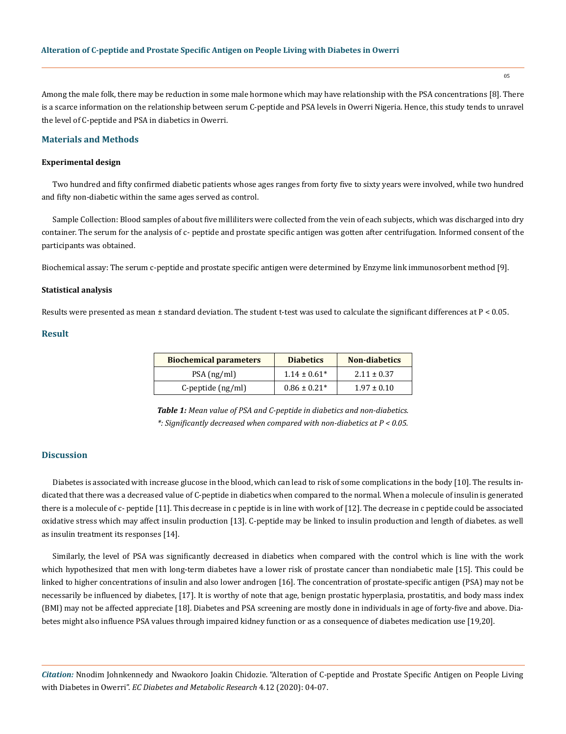Among the male folk, there may be reduction in some male hormone which may have relationship with the PSA concentrations [8]. There is a scarce information on the relationship between serum C-peptide and PSA levels in Owerri Nigeria. Hence, this study tends to unravel the level of C-peptide and PSA in diabetics in Owerri.

## **Materials and Methods**

#### **Experimental design**

Two hundred and fifty confirmed diabetic patients whose ages ranges from forty five to sixty years were involved, while two hundred and fifty non-diabetic within the same ages served as control.

Sample Collection: Blood samples of about five milliliters were collected from the vein of each subjects, which was discharged into dry container. The serum for the analysis of c- peptide and prostate specific antigen was gotten after centrifugation. Informed consent of the participants was obtained.

Biochemical assay: The serum c-peptide and prostate specific antigen were determined by Enzyme link immunosorbent method [9].

#### **Statistical analysis**

Results were presented as mean ± standard deviation. The student t-test was used to calculate the significant differences at P < 0.05.

## **Result**

| <b>Biochemical parameters</b> | <b>Diabetics</b> | <b>Non-diabetics</b> |
|-------------------------------|------------------|----------------------|
| $PSA$ (ng/ml)                 | $1.14 \pm 0.61*$ | $2.11 \pm 0.37$      |
| $C$ -peptide $(ng/ml)$        | $0.86 \pm 0.21*$ | $1.97 \pm 0.10$      |

*Table 1: Mean value of PSA and C-peptide in diabetics and non-diabetics. \*: Significantly decreased when compared with non-diabetics at P < 0.05.*

# **Discussion**

Diabetes is associated with increase glucose in the blood, which can lead to risk of some complications in the body [10]. The results indicated that there was a decreased value of C-peptide in diabetics when compared to the normal. When a molecule of insulin is generated there is a molecule of c- peptide [11]. This decrease in c peptide is in line with work of [12]. The decrease in c peptide could be associated oxidative stress which may affect insulin production [13]. C-peptide may be linked to insulin production and length of diabetes. as well as insulin treatment its responses [14].

Similarly, the level of PSA was significantly decreased in diabetics when compared with the control which is line with the work which hypothesized that men with long-term diabetes have a lower risk of prostate cancer than nondiabetic male [15]. This could be linked to higher concentrations of insulin and also lower androgen [16]. The concentration of prostate-specific antigen (PSA) may not be necessarily be influenced by diabetes, [17]. It is worthy of note that age, benign prostatic hyperplasia, prostatitis, and body mass index (BMI) may not be affected appreciate [18]. Diabetes and PSA screening are mostly done in individuals in age of forty-five and above. Diabetes might also influence PSA values through impaired kidney function or as a consequence of diabetes medication use [19,20].

*Citation:* Nnodim Johnkennedy and Nwaokoro Joakin Chidozie. "Alteration of C-peptide and Prostate Specific Antigen on People Living with Diabetes in Owerri". *EC Diabetes and Metabolic Research* 4.12 (2020): 04-07.

05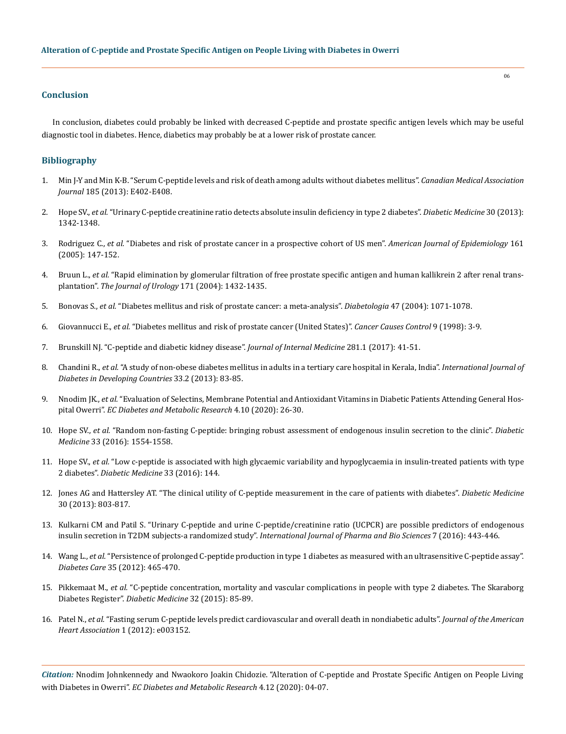## **Conclusion**

In conclusion, diabetes could probably be linked with decreased C-peptide and prostate specific antigen levels which may be useful diagnostic tool in diabetes. Hence, diabetics may probably be at a lower risk of prostate cancer.

## **Bibliography**

- 1. [Min J-Y and Min K-B. "Serum C-peptide levels and risk of death among adults without diabetes mellitus".](https://pubmed.ncbi.nlm.nih.gov/23589428/) *Canadian Medical Association Journal* [185 \(2013\): E402-E408.](https://pubmed.ncbi.nlm.nih.gov/23589428/)
- 2. Hope SV., *et al.* ["Urinary C-peptide creatinine ratio detects absolute insulin deficiency in type 2 diabetes".](https://pubmed.ncbi.nlm.nih.gov/23659458/) *Diabetic Medicine* 30 (2013): [1342-1348.](https://pubmed.ncbi.nlm.nih.gov/23659458/)
- 3. Rodriguez C., *et al.* ["Diabetes and risk of prostate cancer in a prospective cohort of US men".](https://pubmed.ncbi.nlm.nih.gov/15632264/) *American Journal of Epidemiology* 161 [\(2005\): 147-152.](https://pubmed.ncbi.nlm.nih.gov/15632264/)
- 4. Bruun L., *et al.* ["Rapid elimination by glomerular filtration of free prostate specific antigen and human kallikrein 2 after renal trans](https://pubmed.ncbi.nlm.nih.gov/15017191/)plantation". *[The Journal of Urology](https://pubmed.ncbi.nlm.nih.gov/15017191/)* 171 (2004): 1432-1435.
- 5. Bonovas S., *et al.* ["Diabetes mellitus and risk of prostate cancer: a meta-analysis".](https://pubmed.ncbi.nlm.nih.gov/15164171/) *Diabetologia* 47 (2004): 1071-1078.
- 6. Giovannucci E., *et al.* ["Diabetes mellitus and risk of prostate cancer \(United States\)".](https://pubmed.ncbi.nlm.nih.gov/9486458/) *Cancer Causes Control* 9 (1998): 3-9.
- 7. [Brunskill NJ. "C-peptide and diabetic kidney disease".](https://pubmed.ncbi.nlm.nih.gov/27640884/) *Journal of Internal Medicine* 281.1 (2017): 41-51.
- 8. Chandini R., *et al.* ["A study of non-obese diabetes mellitus in adults in a tertiary care hospital in Kerala, India".](https://link.springer.com/article/10.1007/s13410-013-0113-7?shared-article-renderer) *International Journal of [Diabetes in Developing Countries](https://link.springer.com/article/10.1007/s13410-013-0113-7?shared-article-renderer)* 33.2 (2013): 83-85.
- 9. Nnodim JK., *et al.* ["Evaluation of Selectins, Membrane Potential and Antioxidant Vitamins in Diabetic Patients Attending General Hos](https://www.endocrine-abstracts.org/ea/0070/ea0070ep184)pital Owerri". *[EC Diabetes and Metabolic Research](https://www.endocrine-abstracts.org/ea/0070/ea0070ep184)* 4.10 (2020): 26-30.
- 10. Hope SV., *et al.* ["Random non-fasting C-peptide: bringing robust assessment of endogenous insulin secretion to the clinic".](https://www.ncbi.nlm.nih.gov/pmc/articles/PMC5226330/) *Diabetic Medicine* [33 \(2016\): 1554-1558.](https://www.ncbi.nlm.nih.gov/pmc/articles/PMC5226330/)
- 11. Hope SV., *et al.* "Low c-peptide is associated with high glycaemic variability and hypoglycaemia in insulin-treated patients with type 2 diabetes". *Diabetic Medicine* 33 (2016): 144.
- 12. [Jones AG and Hattersley AT. "The clinical utility of C-peptide measurement in the care of patients with diabetes".](https://pubmed.ncbi.nlm.nih.gov/23413806/) *Diabetic Medicine*  [30 \(2013\): 803-817.](https://pubmed.ncbi.nlm.nih.gov/23413806/)
- 13. [Kulkarni CM and Patil S. "Urinary C-peptide and urine C-peptide/creatinine ratio \(UCPCR\) are possible predictors of endogenous](https://www.researchgate.net/publication/309469342_Urinary_C-peptide_and_urine_C-peptidecreatinine_ratio_UCPCR_are_possible_predictors_of_endogenous_insulin_secretion_in_T2DM_subjects_-_A_randomized_study)  [insulin secretion in T2DM subjects-a randomized study".](https://www.researchgate.net/publication/309469342_Urinary_C-peptide_and_urine_C-peptidecreatinine_ratio_UCPCR_are_possible_predictors_of_endogenous_insulin_secretion_in_T2DM_subjects_-_A_randomized_study) *International Journal of Pharma and Bio Sciences* 7 (2016): 443-446.
- 14. Wang L., *et al.* ["Persistence of prolonged C-peptide production in type 1 diabetes as measured with an ultrasensitive C-peptide assay".](https://www.ncbi.nlm.nih.gov/pmc/articles/PMC3322715/)  *Diabetes Care* [35 \(2012\): 465-470.](https://www.ncbi.nlm.nih.gov/pmc/articles/PMC3322715/)
- 15. Pikkemaat M., *et al.* ["C-peptide concentration, mortality and vascular complications in people with type 2 diabetes. The Skaraborg](https://pubmed.ncbi.nlm.nih.gov/25354243/)  Diabetes Register". *[Diabetic Medicine](https://pubmed.ncbi.nlm.nih.gov/25354243/)* 32 (2015): 85-89.
- 16. Patel N., *et al.* ["Fasting serum C-peptide levels predict cardiovascular and overall death in nondiabetic adults".](https://www.researchgate.net/publication/234125171_Fasting_Serum_C-Peptide_Levels_Predict_Cardiovascular_and_Overall_Death_in_Nondiabetic_Adults) *Journal of the American [Heart Association](https://www.researchgate.net/publication/234125171_Fasting_Serum_C-Peptide_Levels_Predict_Cardiovascular_and_Overall_Death_in_Nondiabetic_Adults)* 1 (2012): e003152.

*Citation:* Nnodim Johnkennedy and Nwaokoro Joakin Chidozie. "Alteration of C-peptide and Prostate Specific Antigen on People Living with Diabetes in Owerri". *EC Diabetes and Metabolic Research* 4.12 (2020): 04-07.

06